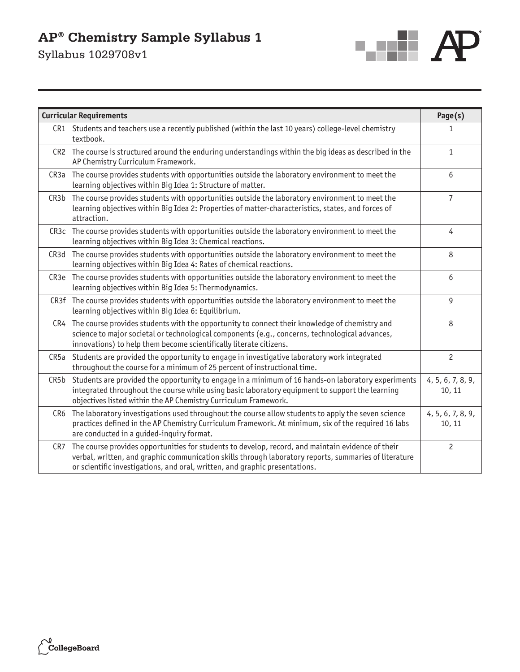# **AP® Chemistry Sample Syllabus 1**

Syllabus 1029708v1



| <b>Curricular Requirements</b> |                                                                                                                                                                                                                                                                                           |                             |
|--------------------------------|-------------------------------------------------------------------------------------------------------------------------------------------------------------------------------------------------------------------------------------------------------------------------------------------|-----------------------------|
|                                | CR1 Students and teachers use a recently published (within the last 10 years) college-level chemistry<br>textbook.                                                                                                                                                                        | 1                           |
|                                | CR2 The course is structured around the enduring understandings within the big ideas as described in the<br>AP Chemistry Curriculum Framework.                                                                                                                                            | $\mathbf{1}$                |
|                                | CR3a The course provides students with opportunities outside the laboratory environment to meet the<br>learning objectives within Big Idea 1: Structure of matter.                                                                                                                        | 6                           |
| CR3b                           | The course provides students with opportunities outside the laboratory environment to meet the<br>learning objectives within Big Idea 2: Properties of matter-characteristics, states, and forces of<br>attraction.                                                                       | $\overline{7}$              |
|                                | CR3c The course provides students with opportunities outside the laboratory environment to meet the<br>learning objectives within Big Idea 3: Chemical reactions.                                                                                                                         | 4                           |
|                                | CR3d The course provides students with opportunities outside the laboratory environment to meet the<br>learning objectives within Big Idea 4: Rates of chemical reactions.                                                                                                                | 8                           |
|                                | CR3e The course provides students with opportunities outside the laboratory environment to meet the<br>learning objectives within Big Idea 5: Thermodynamics.                                                                                                                             | 6                           |
|                                | CR3f The course provides students with opportunities outside the laboratory environment to meet the<br>learning objectives within Big Idea 6: Equilibrium.                                                                                                                                | 9                           |
|                                | CR4 The course provides students with the opportunity to connect their knowledge of chemistry and<br>science to major societal or technological components (e.g., concerns, technological advances,<br>innovations) to help them become scientifically literate citizens.                 | 8                           |
| CR5a                           | Students are provided the opportunity to engage in investigative laboratory work integrated<br>throughout the course for a minimum of 25 percent of instructional time.                                                                                                                   | $\overline{c}$              |
| CR5b                           | Students are provided the opportunity to engage in a minimum of 16 hands-on laboratory experiments<br>integrated throughout the course while using basic laboratory equipment to support the learning<br>objectives listed within the AP Chemistry Curriculum Framework.                  | 4, 5, 6, 7, 8, 9,<br>10, 11 |
| CR <sub>6</sub>                | The laboratory investigations used throughout the course allow students to apply the seven science<br>practices defined in the AP Chemistry Curriculum Framework. At minimum, six of the required 16 labs<br>are conducted in a guided-inquiry format.                                    | 4, 5, 6, 7, 8, 9,<br>10, 11 |
| CR7                            | The course provides opportunities for students to develop, record, and maintain evidence of their<br>verbal, written, and graphic communication skills through laboratory reports, summaries of literature<br>or scientific investigations, and oral, written, and graphic presentations. | $\overline{c}$              |

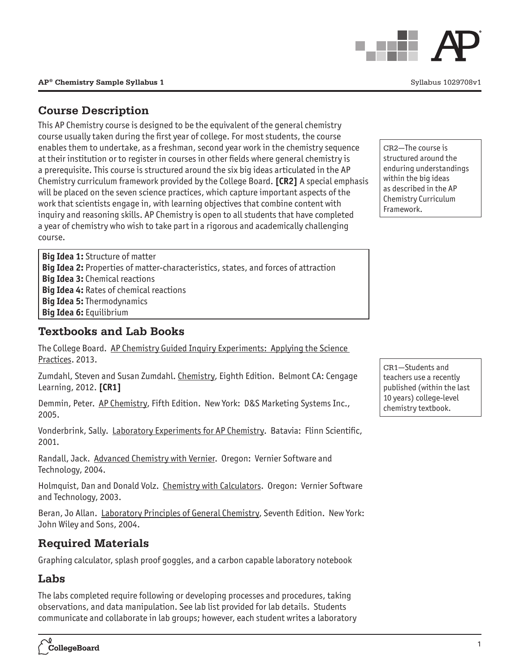# **Course Description**

This AP Chemistry course is designed to be the equivalent of the general chemistry course usually taken during the first year of college. For most students, the course enables them to undertake, as a freshman, second year work in the chemistry sequence at their institution or to register in courses in other fields where general chemistry is a prerequisite. This course is structured around the six big ideas articulated in the AP Chemistry curriculum framework provided by the College Board. **[CR2]** A special emphasis will be placed on the seven science practices, which capture important aspects of the work that scientists engage in, with learning objectives that combine content with inquiry and reasoning skills. AP Chemistry is open to all students that have completed a year of chemistry who wish to take part in a rigorous and academically challenging course.

**Big Idea 1:** Structure of matter **Big Idea 2:** Properties of matter-characteristics, states, and forces of attraction **Big Idea 3:** Chemical reactions **Big Idea 4:** Rates of chemical reactions **Big Idea 5:** Thermodynamics **Big Idea 6:** Equilibrium

# **Textbooks and Lab Books**

The College Board. AP Chemistry Guided Inquiry Experiments: Applying the Science Practices. 2013.

Zumdahl, Steven and Susan Zumdahl. Chemistry, Eighth Edition. Belmont CA: Cengage Learning, 2012. **[CR1]**

Demmin, Peter. AP Chemistry, Fifth Edition. New York: D&S Marketing Systems Inc., 2005.

Vonderbrink, Sally. Laboratory Experiments for AP Chemistry. Batavia: Flinn Scientific, 2001.

Randall, Jack. Advanced Chemistry with Vernier. Oregon: Vernier Software and Technology, 2004.

Holmquist, Dan and Donald Volz. Chemistry with Calculators. Oregon: Vernier Software and Technology, 2003.

Beran, Jo Allan. Laboratory Principles of General Chemistry, Seventh Edition. New York: John Wiley and Sons, 2004.

# **Required Materials**

Graphing calculator, splash proof goggles, and a carbon capable laboratory notebook

# **Labs**

The labs completed require following or developing processes and procedures, taking observations, and data manipulation. See lab list provided for lab details. Students communicate and collaborate in lab groups; however, each student writes a laboratory

CR2—The course is structured around the enduring understandings within the big ideas as described in the AP Chemistry Curriculum Framework.



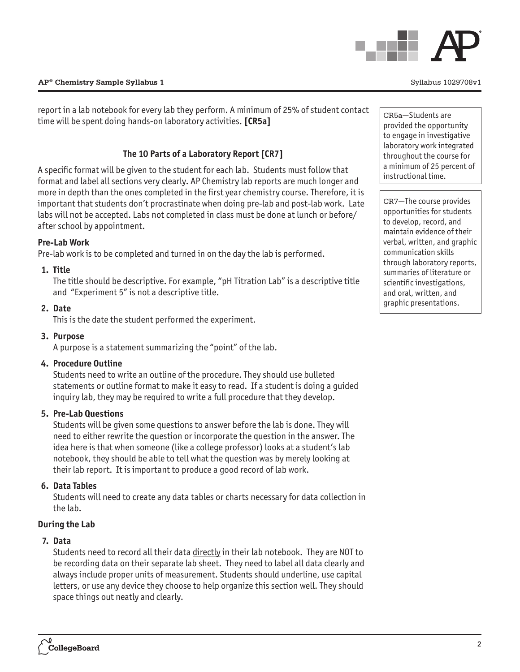CR7—The course provides opportunities for students to develop, record, and maintain evidence of their verbal, written, and graphic communication skills through laboratory reports, summaries of literature or scientific investigations, and oral, written, and graphic presentations.

# **AP® Chemistry Sample Syllabus 1** November 2020 1029708v1

report in a lab notebook for every lab they perform. A minimum of 25% of student contact time will be spent doing hands-on laboratory activities. **[CR5a]**

# **The 10 Parts of a Laboratory Report [CR7]**

A specific format will be given to the student for each lab. Students must follow that format and label all sections very clearly. AP Chemistry lab reports are much longer and more in depth than the ones completed in the first year chemistry course. Therefore, it is important that students don't procrastinate when doing pre-lab and post-lab work. Late labs will not be accepted. Labs not completed in class must be done at lunch or before/ after school by appointment.

# **Pre-Lab Work**

Pre-lab work is to be completed and turned in on the day the lab is performed.

# **1. Title**

The title should be descriptive. For example, "pH Titration Lab" is a descriptive title and "Experiment 5" is not a descriptive title.

# **2. Date**

This is the date the student performed the experiment.

# **3. Purpose**

A purpose is a statement summarizing the "point" of the lab.

# **4. Procedure Outline**

Students need to write an outline of the procedure. They should use bulleted statements or outline format to make it easy to read. If a student is doing a guided inquiry lab, they may be required to write a full procedure that they develop.

# **5. Pre-Lab Questions**

Students will be given some questions to answer before the lab is done. They will need to either rewrite the question or incorporate the question in the answer. The idea here is that when someone (like a college professor) looks at a student's lab notebook, they should be able to tell what the question was by merely looking at their lab report. It is important to produce a good record of lab work.

# **6. Data Tables**

Students will need to create any data tables or charts necessary for data collection in the lab.

# **During the Lab**

# **7. Data**

Students need to record all their data directly in their lab notebook. They are NOT to be recording data on their separate lab sheet. They need to label all data clearly and always include proper units of measurement. Students should underline, use capital letters, or use any device they choose to help organize this section well. They should space things out neatly and clearly.



CR5a—Students are provided the opportunity to engage in investigative laboratory work integrated throughout the course for a minimum of 25 percent of

instructional time.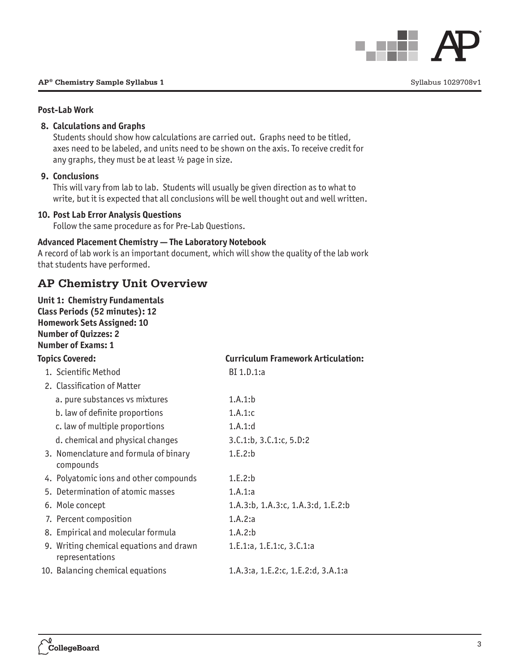

#### **Post-Lab Work**

# **8. Calculations and Graphs**

Students should show how calculations are carried out. Graphs need to be titled, axes need to be labeled, and units need to be shown on the axis. To receive credit for any graphs, they must be at least  $\frac{1}{2}$  page in size.

#### **9. Conclusions**

This will vary from lab to lab. Students will usually be given direction as to what to write, but it is expected that all conclusions will be well thought out and well written.

# **10. Post Lab Error Analysis Questions**

Follow the same procedure as for Pre-Lab Questions.

### **Advanced Placement Chemistry — The Laboratory Notebook**

A record of lab work is an important document, which will show the quality of the lab work that students have performed.

# **AP Chemistry Unit Overview**

**Unit 1: Chemistry Fundamentals Class Periods (52 minutes): 12 Homework Sets Assigned: 10 Number of Quizzes: 2 Number of Exams: 1**

| <b>Topics Covered:</b> |                                                            | <b>Curriculum Framework Articulation:</b> |  |
|------------------------|------------------------------------------------------------|-------------------------------------------|--|
|                        | 1. Scientific Method                                       | BI 1.D.1:a                                |  |
|                        | 2. Classification of Matter                                |                                           |  |
|                        | a. pure substances vs mixtures                             | 1.A.1:b                                   |  |
|                        | b. law of definite proportions                             | 1.A.1:c                                   |  |
|                        | c. law of multiple proportions                             | 1.A.1:d                                   |  |
|                        | d. chemical and physical changes                           | 3.C.1:b.3.C.1:c.5.D.2                     |  |
|                        | 3. Nomenclature and formula of binary<br>compounds         | 1.E.2:b                                   |  |
|                        | 4. Polyatomic ions and other compounds                     | 1.E.2:b                                   |  |
|                        | 5. Determination of atomic masses                          | 1.A.1:a                                   |  |
|                        | 6. Mole concept                                            | 1.A.3:b, 1.A.3:c, 1.A.3:d, 1.E.2:b        |  |
|                        | 7. Percent composition                                     | 1.A.2:a                                   |  |
|                        | 8. Empirical and molecular formula                         | 1.A.2:b                                   |  |
|                        | 9. Writing chemical equations and drawn<br>representations | 1.E.1:a, 1.E.1:c, 3.C.1:a                 |  |
|                        | 10. Balancing chemical equations                           | 1.A.3:a, 1.E.2:c, 1.E.2:d, 3.A.1:a        |  |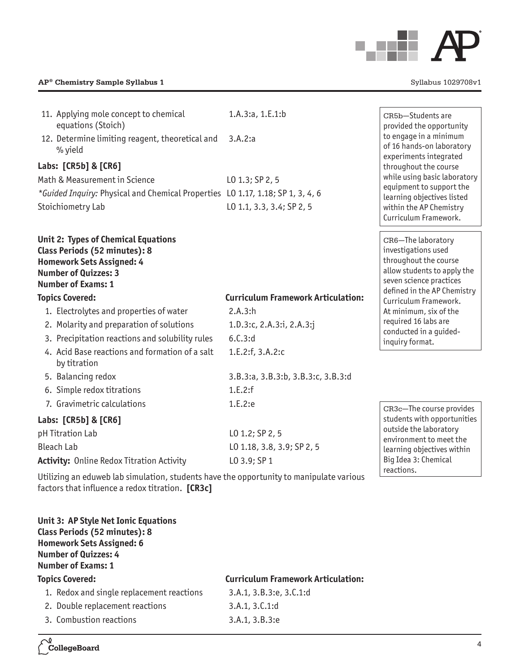

#### **AP® Chemistry Sample Syllabus 1**  $Syllabus 1$

| 11. Applying mole concept to chemical<br>equations (Stoich)                                                                                                                 | 1.A.3:a, 1.E.1:b                          | CR5b-Students are<br>provided the opportunity                                                                                                               |
|-----------------------------------------------------------------------------------------------------------------------------------------------------------------------------|-------------------------------------------|-------------------------------------------------------------------------------------------------------------------------------------------------------------|
| 12. Determine limiting reagent, theoretical and<br>% yield                                                                                                                  | 3.A.2:a                                   | to engage in a minimum<br>of 16 hands-on laboratory<br>experiments integrated                                                                               |
| Labs: [CR5b] & [CR6]                                                                                                                                                        |                                           | throughout the course                                                                                                                                       |
| Math & Measurement in Science                                                                                                                                               | LO 1.3; SP 2, 5                           | while using basic laboratory                                                                                                                                |
| *Guided Inquiry: Physical and Chemical Properties LO 1.17, 1.18; SP 1, 3, 4, 6                                                                                              |                                           | equipment to support the<br>learning objectives listed                                                                                                      |
| Stoichiometry Lab                                                                                                                                                           | L0 1.1, 3.3, 3.4; SP 2, 5                 | within the AP Chemistry<br>Curriculum Framework.                                                                                                            |
| <b>Unit 2: Types of Chemical Equations</b><br>Class Periods (52 minutes): 8<br><b>Homework Sets Assigned: 4</b><br><b>Number of Quizzes: 3</b><br><b>Number of Exams: 1</b> |                                           | CR6-The laboratory<br>investigations used<br>throughout the course<br>allow students to apply the<br>seven science practices<br>defined in the AP Chemistry |
| <b>Topics Covered:</b>                                                                                                                                                      | <b>Curriculum Framework Articulation:</b> | Curriculum Framework.                                                                                                                                       |
| 1. Electrolytes and properties of water                                                                                                                                     | 2.A.3:h                                   | At minimum, six of the                                                                                                                                      |
| 2. Molarity and preparation of solutions                                                                                                                                    | 1.D.3:c, 2.A.3:i, 2.A.3:j                 | required 16 labs are<br>conducted in a guided-                                                                                                              |
| 3. Precipitation reactions and solubility rules                                                                                                                             | 6.C.3:d                                   | inquiry format.                                                                                                                                             |
| 4. Acid Base reactions and formation of a salt<br>by titration                                                                                                              | 1.E.2:f, 3.A.2:c                          |                                                                                                                                                             |
| 5. Balancing redox                                                                                                                                                          | 3.B.3:a, 3.B.3:b, 3.B.3:c, 3.B.3:d        |                                                                                                                                                             |
| 6. Simple redox titrations                                                                                                                                                  | 1.E.2:f                                   |                                                                                                                                                             |
| 7. Gravimetric calculations                                                                                                                                                 | 1.E.2:e                                   | CR3c-The course provides                                                                                                                                    |
| Labs: [CR5b] & [CR6]                                                                                                                                                        |                                           | students with opportunities                                                                                                                                 |
| pH Titration Lab                                                                                                                                                            | LO 1.2; SP 2, 5                           | outside the laboratory<br>environment to meet the                                                                                                           |
| <b>Bleach Lab</b>                                                                                                                                                           | L0 1.18, 3.8, 3.9; SP 2, 5                | learning objectives within                                                                                                                                  |
| <b>Activity: Online Redox Titration Activity</b>                                                                                                                            | LO 3.9; SP 1                              | Big Idea 3: Chemical                                                                                                                                        |
|                                                                                                                                                                             |                                           | reactions.                                                                                                                                                  |

Utilizing an eduweb lab simulation, students have the opportunity to manipulate various factors that influence a redox titration. [CR3c]

**Unit 3: AP Style Net Ionic Equations Class Periods (52 minutes): 8 Homework Sets Assigned: 6 Number of Quizzes: 4 Number of Exams: 1**

# **Topics Covered: Curriculum Framework Articulation:** 1. Redox and single replacement reactions 3.A.1, 3.B.3:e, 3.C.1:d 2. Double replacement reactions 3.A.1, 3.C.1:d

3. Combustion reactions 3.A.1, 3.B.3:e

CollegeBoard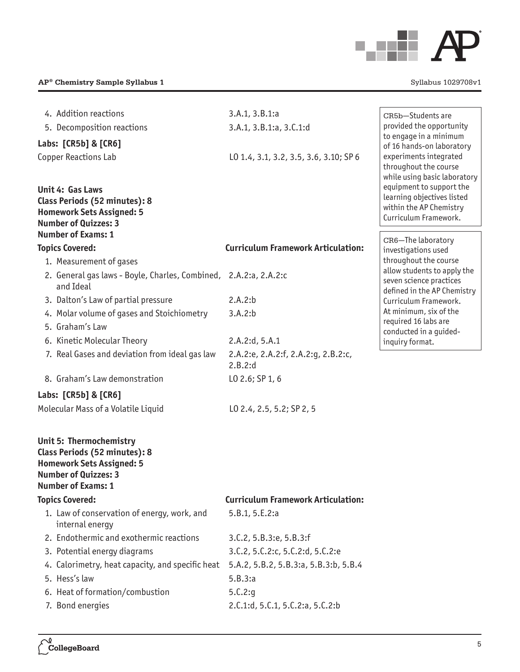

| 4. Addition reactions                                            | 3.A.1, 3.B.1:a                                 | CR5b-Students are                                        |
|------------------------------------------------------------------|------------------------------------------------|----------------------------------------------------------|
| 5. Decomposition reactions                                       | 3.A.1, 3.B.1:a, 3.C.1:d                        | provided the opportunity                                 |
| Labs: [CR5b] & [CR6]                                             |                                                | to engage in a minimum<br>of 16 hands-on laboratory      |
| <b>Copper Reactions Lab</b>                                      | L0 1.4, 3.1, 3.2, 3.5, 3.6, 3.10; SP 6         | experiments integrated                                   |
|                                                                  |                                                | throughout the course                                    |
| <b>Unit 4: Gas Laws</b>                                          |                                                | while using basic laboratory<br>equipment to support the |
| Class Periods (52 minutes): 8                                    |                                                | learning objectives listed                               |
| <b>Homework Sets Assigned: 5</b>                                 |                                                | within the AP Chemistry<br>Curriculum Framework.         |
| <b>Number of Quizzes: 3</b>                                      |                                                |                                                          |
| <b>Number of Exams: 1</b>                                        |                                                | CR6-The laboratory                                       |
| <b>Topics Covered:</b>                                           | <b>Curriculum Framework Articulation:</b>      | investigations used                                      |
| 1. Measurement of gases                                          |                                                | throughout the course<br>allow students to apply the     |
| 2. General gas laws - Boyle, Charles, Combined, 2.A.2:a, 2.A.2:c |                                                | seven science practices                                  |
| and Ideal                                                        |                                                | defined in the AP Chemistry                              |
| 3. Dalton's Law of partial pressure                              | 2.A.2:b                                        | Curriculum Framework.<br>At minimum, six of the          |
| 4. Molar volume of gases and Stoichiometry                       | 3.A.2:b                                        | required 16 labs are                                     |
| 5. Graham's Law                                                  |                                                | conducted in a guided-                                   |
| 6. Kinetic Molecular Theory                                      | 2.A.2:d, 5.A.1                                 | inquiry format.                                          |
| 7. Real Gases and deviation from ideal gas law                   | 2.A.2:e, 2.A.2:f, 2.A.2:g, 2.B.2:c,<br>2.B.2:d |                                                          |
| 8. Graham's Law demonstration                                    | LO 2.6; SP 1, 6                                |                                                          |
|                                                                  |                                                |                                                          |
| Labs: [CR5b] & [CR6]                                             |                                                |                                                          |
| Molecular Mass of a Volatile Liquid                              | LO 2.4, 2.5, 5.2; SP 2, 5                      |                                                          |
| Unit 5: Thermochemistry                                          |                                                |                                                          |
| Class Periods (52 minutes): 8                                    |                                                |                                                          |
| <b>Homework Sets Assigned: 5</b>                                 |                                                |                                                          |
| <b>Number of Quizzes: 3</b><br><b>Number of Exams: 1</b>         |                                                |                                                          |
| <b>Topics Covered:</b>                                           | <b>Curriculum Framework Articulation:</b>      |                                                          |
| 1. Law of conservation of energy, work, and                      | 5.B.1, 5.E.2:a                                 |                                                          |
| internal energy                                                  |                                                |                                                          |
| 2. Endothermic and exothermic reactions                          | 3.C.2, 5.B.3:e, 5.B.3:f                        |                                                          |
| 3. Potential energy diagrams                                     | 3.C.2, 5.C.2:c, 5.C.2:d, 5.C.2:e               |                                                          |
| 4. Calorimetry, heat capacity, and specific heat                 | 5.A.2, 5.B.2, 5.B.3:a, 5.B.3:b, 5.B.4          |                                                          |
| 5. Hess's law                                                    | 5.B.3:a                                        |                                                          |
| 6. Heat of formation/combustion                                  | 5.C.2:g                                        |                                                          |
| 7. Bond energies                                                 | 2.C.1:d, 5.C.1, 5.C.2:a, 5.C.2:b               |                                                          |
|                                                                  |                                                |                                                          |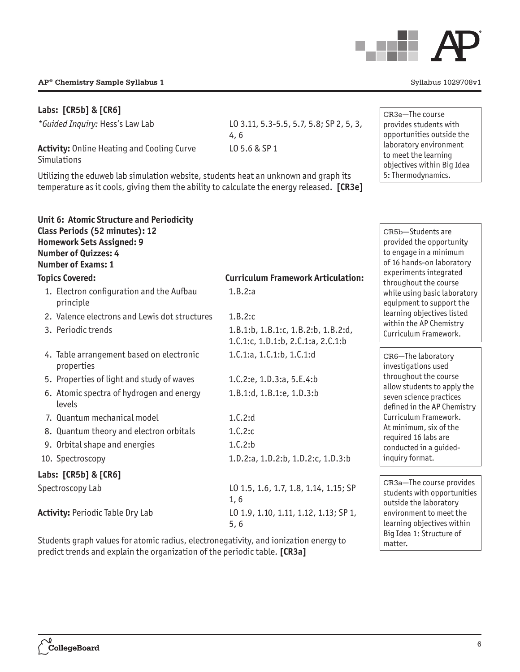

# **Labs: [CR5b] & [CR6]**

*\*Guided Inquiry:* Hess's Law Lab LO 3.11, 5.3-5.5, 5.7, 5.8; SP 2, 5, 3,

**Activity:** Online Heating and Cooling Curve Simulations

Utilizing the eduweb lab simulation website, students heat an unknown and graph its temperature as it cools, giving them the ability to calculate the energy released. **[CR3e]**

4, 6

**Unit 6: Atomic Structure and Periodicity Class Periods (52 minutes): 12 Homework Sets Assigned: 9 Number of Quizzes: 4 Number of Exams: 1 Topics Covered: Curriculum Framework Articulation:** 1. Electron configuration and the Aufbau principle 1.B.2:a 2. Valence electrons and Lewis dot structures 1.B.2:c 3. Periodic trends 1.B.1:b, 1.B.1:c, 1.B.2:b, 1.B.2:d, 1.C.1:c, 1.D.1:b, 2.C.1:a, 2.C.1:b 4. Table arrangement based on electronic properties 1.C.1:a, 1.C.1:b, 1.C.1:d 5. Properties of light and study of waves 1.C.2:e, 1.D.3:a, 5.E.4:b 6. Atomic spectra of hydrogen and energy levels 1.B.1:d, 1.B.1:e, 1.D.3:b 7. Quantum mechanical model 1.C.2:d 8. Quantum theory and electron orbitals 1.C.2:c 9. Orbital shape and energies 1.C.2:b 10. Spectroscopy 1.D.2:a, 1.D.2:b, 1.D.2:c, 1.D.3:b **Labs: [CR5b] & [CR6]** Spectroscopy Lab LO 1.5, 1.6, 1.7, 1.8, 1.14, 1.15; SP 1, 6 **Activity:** Periodic Table Dry Lab LO 1.9, 1.10, 1.11, 1.12, 1.13; SP 1, 5, 6 CR5b—Students are inquiry format.

Students graph values for atomic radius, electronegativity, and ionization energy to predict trends and explain the organization of the periodic table. **[CR3a]** 

LO 5.6 & SP 1 CR3e—The course provides students with opportunities outside the laboratory environment to meet the learning

> provided the opportunity to engage in a minimum of 16 hands-on laboratory experiments integrated throughout the course while using basic laboratory equipment to support the learning objectives listed within the AP Chemistry Curriculum Framework.

objectives within Big Idea 5: Thermodynamics.

CR6—The laboratory investigations used throughout the course allow students to apply the seven science practices defined in the AP Chemistry Curriculum Framework. At minimum, six of the required 16 labs are conducted in a guided-

CR3a—The course provides students with opportunities outside the laboratory environment to meet the learning objectives within Big Idea 1: Structure of matter.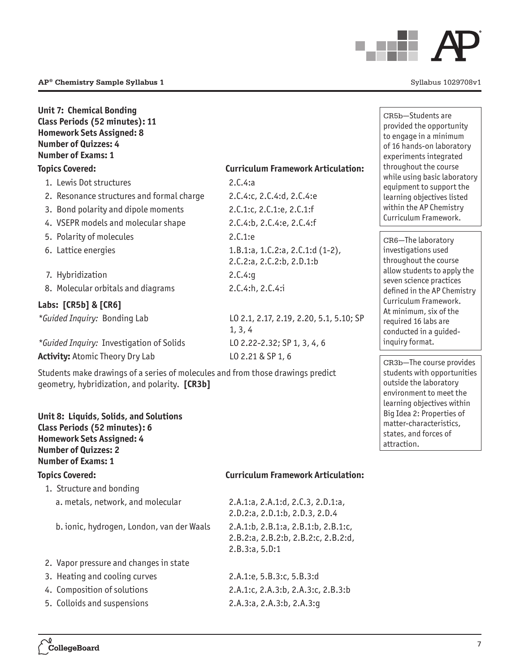

# **Unit 7: Chemical Bonding Class Periods (52 minutes): 11 Homework Sets Assigned: 8 Number of Quizzes: 4 Number of Exams: 1**

# **Topics Covered: Curriculum Framework Articulation:**

| 1. Lewis Dot structures                         | 2.C.4:a                                                          |
|-------------------------------------------------|------------------------------------------------------------------|
| 2. Resonance structures and formal charge       | 2.C.4:c, 2.C.4:d, 2.C.4:e                                        |
| 3. Bond polarity and dipole moments             | 2.C.1:c, 2.C.1:e, 2.C.1:f                                        |
| 4. VSEPR models and molecular shape             | 2.C.4:b, 2.C.4:e, 2.C.4:f                                        |
| 5. Polarity of molecules                        | 2.C.1:e                                                          |
| 6. Lattice energies                             | 1.B.1:a, 1.C.2:a, 2.C.1:d $(1-2)$ ,<br>2.C.2:a, 2.C.2:b, 2.D.1:b |
| 7. Hybridization                                | 2.C.4:q                                                          |
| 8. Molecular orbitals and diagrams              | 2.C.4:h, 2.C.4:1                                                 |
| Labs: [CR5b] & [CR6]                            |                                                                  |
| <i>*Guided Inquiry:</i> Bonding Lab             | L0 2.1, 2.17, 2.19, 2.20, 5.1, 5.10; SP<br>1, 3, 4               |
| <i>*Guided Inquiry: Investigation of Solids</i> | L0 2.22-2.32; SP 1, 3, 4, 6                                      |
| <b>Activity: Atomic Theory Dry Lab</b>          | LO 2.21 & SP 1, 6                                                |

Students make drawings of a series of molecules and from those drawings predict geometry, hybridization, and polarity. [CR3b]

# **Unit 8: Liquids, Solids, and Solutions Class Periods (52 minutes): 6 Homework Sets Assigned: 4 Number of Quizzes: 2 Number of Exams: 1**

#### **Topics Covered: Curriculum Framework Articulation:**

- 1. Structure and bonding a. metals, network, and molecular 2.A.1:a, 2.A.1:d, 2.C.3, 2.D.1:a,
	- b. ionic, hydrogen, London, van der Waals 2.A.1:b, 2.B.1:a, 2.B.1:b, 2.B.1:c,
- 2. Vapor pressure and changes in state
- 3. Heating and cooling curves 2.A.1:e, 5.B.3:c, 5.B.3:d
- 
- 5. Colloids and suspensions 2.A.3:a, 2.A.3:b, 2.A.3:g

2.D.2:a, 2.D.1:b, 2.D.3, 2.D.4 2.B.2:a, 2.B.2:b, 2.B.2:c, 2.B.2:d, 2.B.3:a, 5.D:1

4. Composition of solutions 2.A.1:c, 2.A.3:b, 2.A.3:c, 2.B.3:b

CR5b—Students are provided the opportunity to engage in a minimum of 16 hands-on laboratory experiments integrated throughout the course while using basic laboratory equipment to support the learning objectives listed within the AP Chemistry Curriculum Framework.

CR6—The laboratory investigations used throughout the course allow students to apply the seven science practices defined in the AP Chemistry Curriculum Framework. At minimum, six of the required 16 labs are conducted in a guidedinquiry format.

CR3b—The course provides students with opportunities outside the laboratory environment to meet the learning objectives within Big Idea 2: Properties of matter-characteristics, states, and forces of attraction.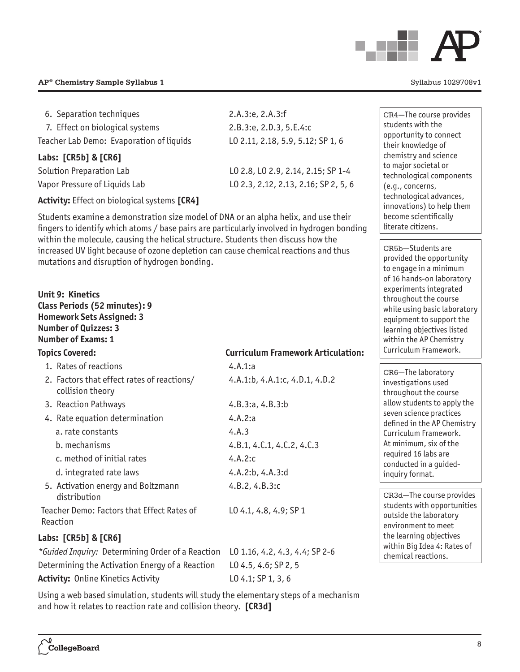

| 6. Separation techniques                            | 2.A.3:e, 2.A.3:f                     |
|-----------------------------------------------------|--------------------------------------|
| 7. Effect on biological systems                     | 2.B.3:e, 2.D.3, 5.E.4:c              |
| Teacher Lab Demo: Evaporation of liquids            | L0 2.11, 2.18, 5.9, 5.12; SP 1, 6    |
| Labs: [CR5b] & [CR6]                                |                                      |
| Solution Preparation Lab                            | LO 2.8, LO 2.9, 2.14, 2.15; SP 1-4   |
| Vapor Pressure of Liquids Lab                       | L0 2.3, 2.12, 2.13, 2.16; SP 2, 5, 6 |
| <b>Activity:</b> Effect on biological systems [CR4] |                                      |

Students examine a demonstration size model of DNA or an alpha helix, and use their fingers to identify which atoms / base pairs are particularly involved in hydrogen bonding within the molecule, causing the helical structure. Students then discuss how the increased UV light because of ozone depletion can cause chemical reactions and thus mutations and disruption of hydrogen bonding.

# **Unit 9: Kinetics Class Periods (52 minutes): 9 Homework Sets Assigned: 3 Number of Quizzes: 3 Number of Exams: 1**

| <b>Topics Covered:</b> |                                                                | <b>Curriculum Framework Articulation:</b> |  |
|------------------------|----------------------------------------------------------------|-------------------------------------------|--|
|                        | 1. Rates of reactions                                          | 4.A.1:a                                   |  |
|                        | 2. Factors that effect rates of reactions/<br>collision theory | 4.A.1:b, 4.A.1:c, 4.D.1, 4.D.2            |  |
|                        | 3. Reaction Pathways                                           | 4.B.3:a, 4.B.3:b                          |  |
|                        | 4. Rate equation determination                                 | 4.A.2:a                                   |  |
|                        | a. rate constants                                              | 4.A.3                                     |  |
|                        | b. mechanisms                                                  | 4.B.1, 4.C.1, 4.C.2, 4.C.3                |  |
|                        | c. method of initial rates                                     | 4.A.2:c                                   |  |
|                        | d. integrated rate laws                                        | 4.A.2:b, $4.A.3:d$                        |  |
|                        | 5. Activation energy and Boltzmann<br>distribution             | 4.B.2, 4.B.3:c                            |  |
|                        | Teacher Demo: Factors that Effect Rates of<br>Reaction         | $L0$ 4.1, 4.8, 4.9; SP 1                  |  |
|                        | Labs: [CR5b] & [CR6]                                           |                                           |  |
|                        | *Guided Inquiry: Determining Order of a Reaction               | L0 1.16, 4.2, 4.3, 4.4; SP 2-6            |  |
|                        | Determining the Activation Energy of a Reaction                | LO 4.5, 4.6; SP 2, 5                      |  |

Using a web based simulation, students will study the elementary steps of a mechanism and how it relates to reaction rate and collision theory. **[CR3d]**

Activity: Online Kinetics Activity LO 4.1; SP 1, 3, 6

CR4—The course provides students with the opportunity to connect their knowledge of chemistry and science to major societal or technological components (e.g., concerns, technological advances, innovations) to help them become scientifically literate citizens.

CR5b—Students are provided the opportunity to engage in a minimum of 16 hands-on laboratory experiments integrated throughout the course while using basic laboratory equipment to support the learning objectives listed within the AP Chemistry Curriculum Framework.

CR6—The laboratory investigations used throughout the course allow students to apply the seven science practices defined in the AP Chemistry Curriculum Framework. At minimum, six of the required 16 labs are conducted in a guidedinquiry format.

CR3d—The course provides students with opportunities outside the laboratory environment to meet the learning objectives within Big Idea 4: Rates of chemical reactions.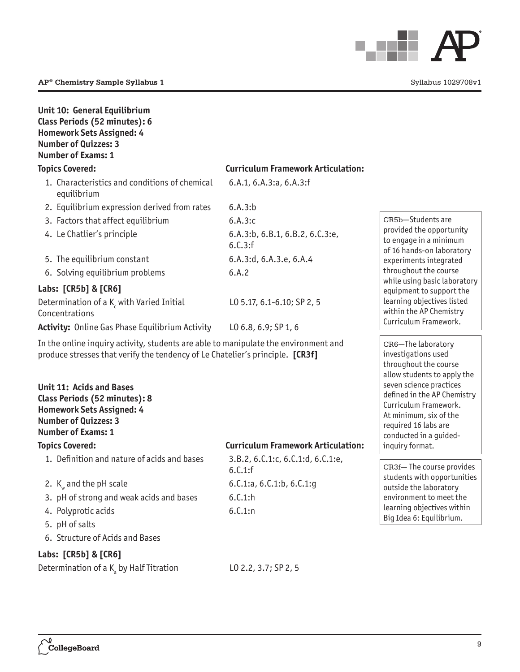

| Unit 10: General Equilibrium<br>Class Periods (52 minutes): 6<br><b>Homework Sets Assigned: 4</b><br><b>Number of Quizzes: 3</b><br><b>Number of Exams: 1</b>                                                                                                                                                                                                      |                                              |                                                                                                                                                                                                                                                                                     |
|--------------------------------------------------------------------------------------------------------------------------------------------------------------------------------------------------------------------------------------------------------------------------------------------------------------------------------------------------------------------|----------------------------------------------|-------------------------------------------------------------------------------------------------------------------------------------------------------------------------------------------------------------------------------------------------------------------------------------|
| <b>Topics Covered:</b>                                                                                                                                                                                                                                                                                                                                             | <b>Curriculum Framework Articulation:</b>    |                                                                                                                                                                                                                                                                                     |
| 1. Characteristics and conditions of chemical<br>equilibrium                                                                                                                                                                                                                                                                                                       | 6.A.1, 6.A.3:a, 6.A.3:f                      |                                                                                                                                                                                                                                                                                     |
| 2. Equilibrium expression derived from rates                                                                                                                                                                                                                                                                                                                       | 6.A.3:b                                      |                                                                                                                                                                                                                                                                                     |
| 3. Factors that affect equilibrium                                                                                                                                                                                                                                                                                                                                 | 6.A.3:c                                      | CR5b-Students are                                                                                                                                                                                                                                                                   |
| 4. Le Chatlier's principle                                                                                                                                                                                                                                                                                                                                         | 6.A.3:b, 6.B.1, 6.B.2, 6.C.3:e,<br>6.C.3:f   | provided the opportunity<br>to engage in a minimum<br>of 16 hands-on laboratory                                                                                                                                                                                                     |
| 5. The equilibrium constant                                                                                                                                                                                                                                                                                                                                        | 6.A.3:d, 6.A.3.e, 6.A.4                      | experiments integrated                                                                                                                                                                                                                                                              |
| 6. Solving equilibrium problems                                                                                                                                                                                                                                                                                                                                    | 6.A.2                                        | throughout the course                                                                                                                                                                                                                                                               |
| Labs: [CR5b] & [CR6]                                                                                                                                                                                                                                                                                                                                               |                                              | while using basic laboratory<br>equipment to support the                                                                                                                                                                                                                            |
| Determination of a K <sub>c</sub> with Varied Initial<br>Concentrations                                                                                                                                                                                                                                                                                            | L0 5.17, 6.1-6.10; SP 2, 5                   | learning objectives listed<br>within the AP Chemistry                                                                                                                                                                                                                               |
| <b>Activity:</b> Online Gas Phase Equilibrium Activity                                                                                                                                                                                                                                                                                                             | LO 6.8, 6.9; SP 1, 6                         | Curriculum Framework.                                                                                                                                                                                                                                                               |
| In the online inquiry activity, students are able to manipulate the environment and<br>produce stresses that verify the tendency of Le Chatelier's principle. [CR3f]<br><b>Unit 11: Acids and Bases</b><br>Class Periods (52 minutes): 8<br><b>Homework Sets Assigned: 4</b><br><b>Number of Quizzes: 3</b><br><b>Number of Exams: 1</b><br><b>Topics Covered:</b> | <b>Curriculum Framework Articulation:</b>    | CR6-The laboratory<br>investigations used<br>throughout the course<br>allow students to apply the<br>seven science practices<br>defined in the AP Chemistry<br>Curriculum Framework.<br>At minimum, six of the<br>required 16 labs are<br>conducted in a guided-<br>inquiry format. |
| 1. Definition and nature of acids and bases                                                                                                                                                                                                                                                                                                                        | 3.B.2, 6.C.1:c, 6.C.1:d, 6.C.1:e,<br>6.C.1:f | CR3f-The course provides                                                                                                                                                                                                                                                            |
| 2. $K_w$ and the pH scale                                                                                                                                                                                                                                                                                                                                          | 6.C.1:a, 6.C.1:b, 6.C.1:g                    | students with opportunities                                                                                                                                                                                                                                                         |
| 3. pH of strong and weak acids and bases                                                                                                                                                                                                                                                                                                                           | 6.C.1:h                                      | outside the laboratory<br>environment to meet the                                                                                                                                                                                                                                   |
| 4. Polyprotic acids                                                                                                                                                                                                                                                                                                                                                | 6.C.1:n                                      | learning objectives within                                                                                                                                                                                                                                                          |
| 5. pH of salts                                                                                                                                                                                                                                                                                                                                                     |                                              | Big Idea 6: Equilibrium.                                                                                                                                                                                                                                                            |
| 6. Structure of Acids and Bases                                                                                                                                                                                                                                                                                                                                    |                                              |                                                                                                                                                                                                                                                                                     |
| Labs: [CR5b] & [CR6]                                                                                                                                                                                                                                                                                                                                               |                                              |                                                                                                                                                                                                                                                                                     |
| Determination of a $K_a$ by Half Titration                                                                                                                                                                                                                                                                                                                         | LO 2.2, 3.7; SP 2, 5                         |                                                                                                                                                                                                                                                                                     |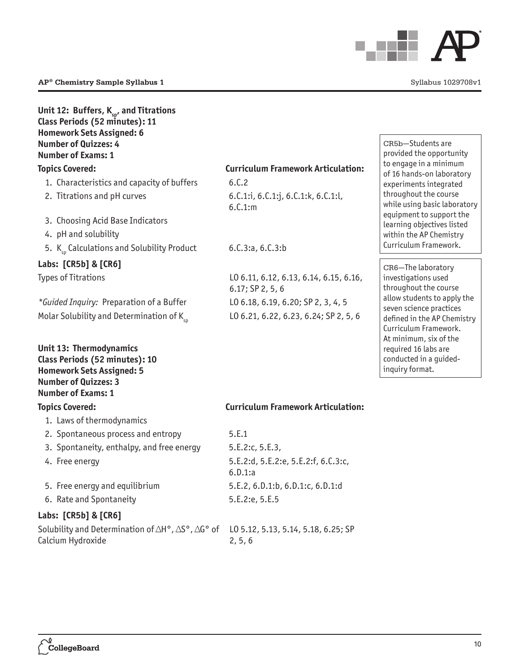

| Unit 12: Buffers, $K_{sp}$ , and Titrations<br>Class Periods (52 minutes): 11<br><b>Homework Sets Assigned: 6</b><br><b>Number of Quizzes: 4</b><br><b>Number of Exams: 1</b> |                                                              |
|-------------------------------------------------------------------------------------------------------------------------------------------------------------------------------|--------------------------------------------------------------|
| <b>Topics Covered:</b>                                                                                                                                                        | <b>Curriculum Framework Articulation:</b>                    |
| 1. Characteristics and capacity of buffers                                                                                                                                    | 6.C.2                                                        |
| 2. Titrations and pH curves                                                                                                                                                   | 6.C.1:i, 6.C.1:j, 6.C.1:k, 6.C.1:l,<br>6.C.1:m               |
| 3. Choosing Acid Base Indicators                                                                                                                                              |                                                              |
| 4. pH and solubility                                                                                                                                                          |                                                              |
| 5. $K_{sn}$ Calculations and Solubility Product                                                                                                                               | 6.C.3:a, 6.C.3:b                                             |
| Labs: [CR5b] & [CR6]                                                                                                                                                          |                                                              |
| <b>Types of Titrations</b>                                                                                                                                                    | L0 6.11, 6.12, 6.13, 6.14, 6.15, 6.16,<br>$6.17;$ SP 2, 5, 6 |
| *Guided Inquiry: Preparation of a Buffer                                                                                                                                      | L0 6.18, 6.19, 6.20; SP 2, 3, 4, 5                           |
| Molar Solubility and Determination of $K_{sn}$                                                                                                                                | L0 6.21, 6.22, 6.23, 6.24; SP 2, 5, 6                        |
| Unit 13: Thermodynamics<br>Class Periods (52 minutes): 10<br><b>Homework Sets Assigned: 5</b><br><b>Number of Quizzes: 3</b><br><b>Number of Exams: 1</b>                     |                                                              |
| <b>Topics Covered:</b>                                                                                                                                                        | <b>Curriculum Framework Articulation:</b>                    |
| 1. Laws of thermodynamics                                                                                                                                                     |                                                              |
| 2. Spontaneous process and entropy                                                                                                                                            | 5.E.1                                                        |
| 3. Spontaneity, enthalpy, and free energy                                                                                                                                     | 5.E.2:c, 5.E.3,                                              |
| 4. Free energy                                                                                                                                                                | 5.E.2:d, 5.E.2:e, 5.E.2:f, 6.C.3:c,<br>6.D.1:a               |
| 5. Free energy and equilibrium                                                                                                                                                | 5.E.2, 6.D.1:b, 6.D.1:c, 6.D.1:d                             |
| 6. Rate and Spontaneity                                                                                                                                                       | 5.E.2:e, 5.E.5                                               |
| Labs: [CR5b] & [CR6]                                                                                                                                                          |                                                              |

### CR5b—Students are provided the opportunity to engage in a minimum of 16 hands-on laboratory experiments integrated throughout the course while using basic laboratory equipment to support the learning objectives listed within the AP Chemistry Curriculum Framework.

CR6—The laboratory investigations used throughout the course allow students to apply the seven science practices defined in the AP Chemistry Curriculum Framework. At minimum, six of the required 16 labs are conducted in a guidedinquiry format.

| 5.E.1                                          |
|------------------------------------------------|
| 5.E.2:c.5.E.3.                                 |
| 5.E.2:d, 5.E.2:e, 5.E.2:f, 6.C.3:c,<br>6.D.1:a |
| 5.E.2, 6.D.1:b, 6.D.1:c, 6.D.1:d               |
| 5.E.2:e, 5.E.5                                 |
|                                                |

Solubility and Determination of  $\Delta H^\circ$  ,  $\Delta S^\circ$  ,  $\Delta G^\circ$  of  $\phantom{1}$  LO 5.12, 5.13, 5.14, 5.18, 6.25; SP 2, 5, 6

Calcium Hydroxide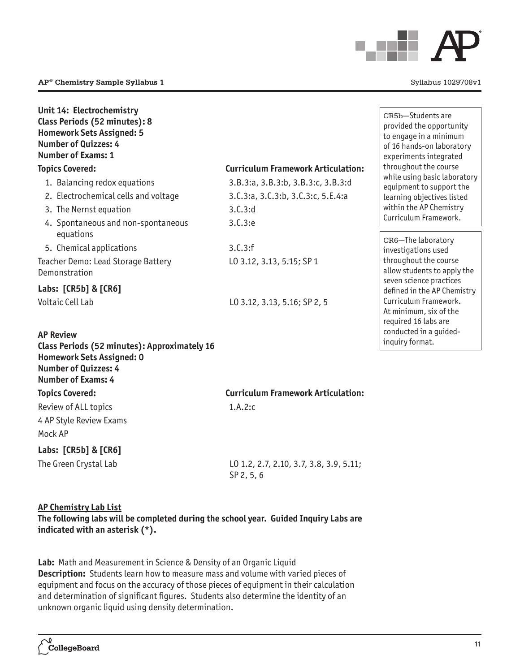

| Unit 14: Electrochemistry<br>Class Periods (52 minutes): 8<br><b>Homework Sets Assigned: 5</b><br><b>Number of Quizzes: 4</b><br><b>Number of Exams: 1</b><br><b>Topics Covered:</b><br>1. Balancing redox equations<br>2. Electrochemical cells and voltage<br>3. The Nernst equation<br>4. Spontaneous and non-spontaneous | <b>Curriculum Framework Articulation:</b><br>3.B.3:a, 3.B.3:b, 3.B.3:c, 3.B.3:d<br>3.C.3:a, 3.C.3:b, 3.C.3:c, 5.E.4:a<br>3.C.3:d<br>3.C.3:e | CR5b-Students are<br>provided the opportunity<br>to engage in a minimum<br>of 16 hands-on laboratory<br>experiments integrated<br>throughout the course<br>while using basic laboratory<br>equipment to support the<br>learning objectives listed<br>within the AP Chemistry<br>Curriculum Framework. |
|------------------------------------------------------------------------------------------------------------------------------------------------------------------------------------------------------------------------------------------------------------------------------------------------------------------------------|---------------------------------------------------------------------------------------------------------------------------------------------|-------------------------------------------------------------------------------------------------------------------------------------------------------------------------------------------------------------------------------------------------------------------------------------------------------|
| equations<br>5. Chemical applications<br>Teacher Demo: Lead Storage Battery<br>Demonstration<br>Labs: [CR5b] & [CR6]<br><b>Voltaic Cell Lab</b><br><b>AP Review</b><br>Class Periods (52 minutes): Approximately 16<br><b>Homework Sets Assigned: 0</b><br><b>Number of Quizzes: 4</b>                                       | 3.C.3:f<br>L0 3.12, 3.13, 5.15; SP 1<br>L0 3.12, 3.13, 5.16; SP 2, 5                                                                        | CR6-The laboratory<br>investigations used<br>throughout the course<br>allow students to apply the<br>seven science practices<br>defined in the AP Chemistry<br>Curriculum Framework.<br>At minimum, six of the<br>required 16 labs are<br>conducted in a guided-<br>inquiry format.                   |
| <b>Number of Exams: 4</b><br><b>Topics Covered:</b>                                                                                                                                                                                                                                                                          | <b>Curriculum Framework Articulation:</b>                                                                                                   |                                                                                                                                                                                                                                                                                                       |
| Review of ALL topics<br>4 AP Style Review Exams<br>Mock AP                                                                                                                                                                                                                                                                   | 1.A.2:c                                                                                                                                     |                                                                                                                                                                                                                                                                                                       |
| Labs: [CR5b] & [CR6]<br>The Green Crystal Lab                                                                                                                                                                                                                                                                                | L0 1.2, 2.7, 2.10, 3.7, 3.8, 3.9, 5.11;<br>SP <sub>2</sub> , 5, 6                                                                           |                                                                                                                                                                                                                                                                                                       |

**AP Chemistry Lab List The following labs will be completed during the school year. Guided Inquiry Labs are indicated with an asterisk (\*).**

**Lab:** Math and Measurement in Science & Density of an Organic Liquid **Description:** Students learn how to measure mass and volume with varied pieces of equipment and focus on the accuracy of those pieces of equipment in their calculation and determination of significant figures. Students also determine the identity of an unknown organic liquid using density determination.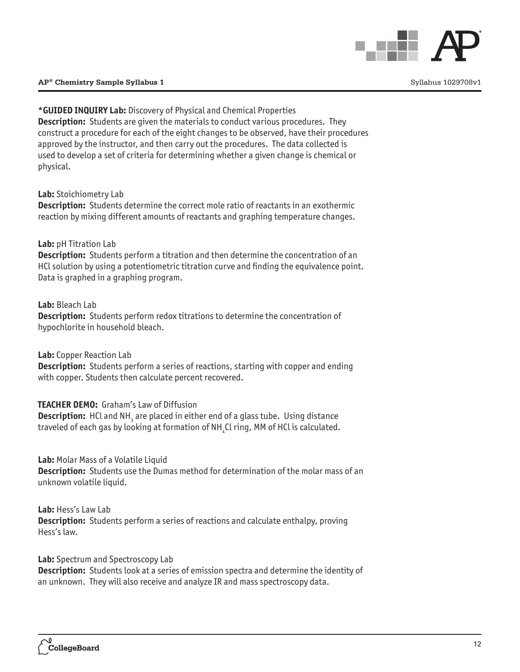

# **\*GUIDED INQUIRY Lab:** Discovery of Physical and Chemical Properties

**Description:** Students are given the materials to conduct various procedures. They construct a procedure for each of the eight changes to be observed, have their procedures approved by the instructor, and then carry out the procedures. The data collected is used to develop a set of criteria for determining whether a given change is chemical or physical.

**Lab:** Stoichiometry Lab

**Description:** Students determine the correct mole ratio of reactants in an exothermic reaction by mixing different amounts of reactants and graphing temperature changes.

# **Lab:** pH Titration Lab

**Description:** Students perform a titration and then determine the concentration of an HCl solution by using a potentiometric titration curve and finding the equivalence point. Data is graphed in a graphing program.

**Lab:** Bleach Lab

**Description:** Students perform redox titrations to determine the concentration of hypochlorite in household bleach.

**Lab:** Copper Reaction Lab

**Description:** Students perform a series of reactions, starting with copper and ending with copper. Students then calculate percent recovered.

# **TEACHER DEMO:** Graham's Law of Diffusion

**Description:** HCl and NH<sub>3</sub> are placed in either end of a glass tube. Using distance traveled of each gas by looking at formation of NH $_{\textrm{\tiny{4}}}$ Cl ring, MM of HCl is calculated.

**Lab:** Molar Mass of a Volatile Liquid

**Description:** Students use the Dumas method for determination of the molar mass of an unknown volatile liquid.

**Lab:** Hess's Law Lab **Description:** Students perform a series of reactions and calculate enthalpy, proving Hess's law.

**Lab:** Spectrum and Spectroscopy Lab

**Description:** Students look at a series of emission spectra and determine the identity of an unknown. They will also receive and analyze IR and mass spectroscopy data.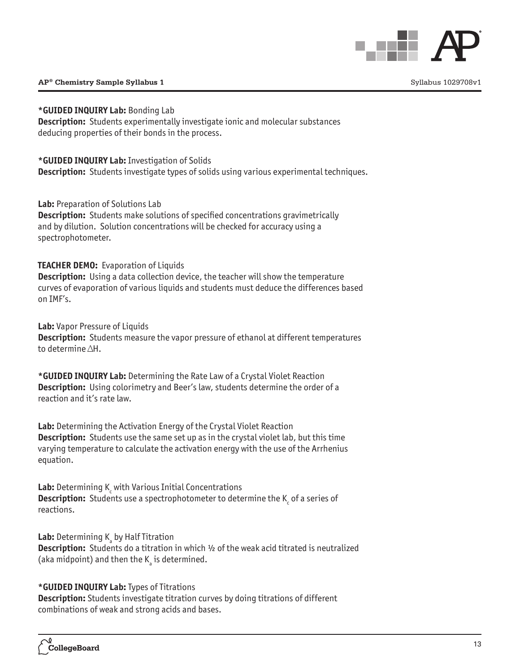

#### **\*GUIDED INQUIRY Lab:** Bonding Lab

**Description:** Students experimentally investigate ionic and molecular substances deducing properties of their bonds in the process.

**\*GUIDED INQUIRY Lab:** Investigation of Solids

**Description:** Students investigate types of solids using various experimental techniques.

**Lab:** Preparation of Solutions Lab

**Description:** Students make solutions of specified concentrations gravimetrically and by dilution. Solution concentrations will be checked for accuracy using a spectrophotometer.

# **TEACHER DEMO:** Evaporation of Liquids

**Description:** Using a data collection device, the teacher will show the temperature curves of evaporation of various liquids and students must deduce the differences based on IMF's.

**Lab:** Vapor Pressure of Liquids

**Description:** Students measure the vapor pressure of ethanol at different temperatures to determine  $\triangle H$ .

**\*GUIDED INQUIRY Lab:** Determining the Rate Law of a Crystal Violet Reaction **Description:** Using colorimetry and Beer's law, students determine the order of a reaction and it's rate law.

**Lab:** Determining the Activation Energy of the Crystal Violet Reaction **Description:** Students use the same set up as in the crystal violet lab, but this time varying temperature to calculate the activation energy with the use of the Arrhenius equation.

**Lab:** Determining K<sub>c</sub> with Various Initial Concentrations **Description:** Students use a spectrophotometer to determine the K<sub>c</sub> of a series of reactions.

**Lab:** Determining K<sub>a</sub> by Half Titration

**Description:** Students do a titration in which  $\frac{1}{2}$  of the weak acid titrated is neutralized (aka midpoint) and then the  $\boldsymbol{\mathsf{K}}_{_\mathrm{a}}$  is determined.

# **\*GUIDED INQUIRY Lab:** Types of Titrations

**Description:** Students investigate titration curves by doing titrations of different combinations of weak and strong acids and bases.